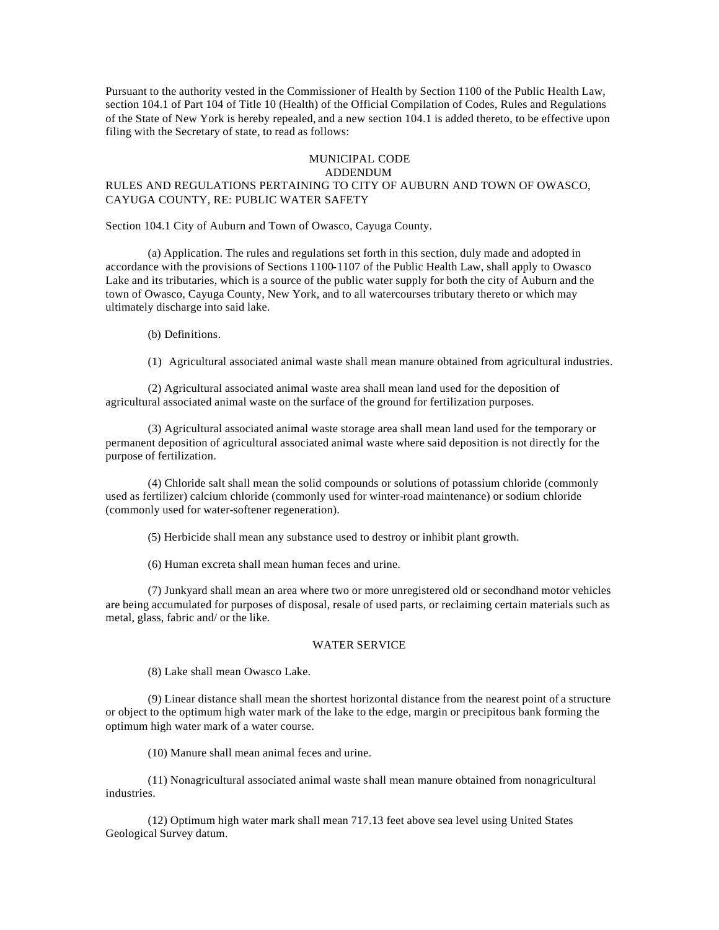Pursuant to the authority vested in the Commissioner of Health by Section 1100 of the Public Health Law, section 104.1 of Part 104 of Title 10 (Health) of the Official Compilation of Codes, Rules and Regulations of the State of New York is hereby repealed, and a new section 104.1 is added thereto, to be effective upon filing with the Secretary of state, to read as follows:

## MUNICIPAL CODE

# ADDENDUM

### RULES AND REGULATIONS PERTAINING TO CITY OF AUBURN AND TOWN OF OWASCO, CAYUGA COUNTY, RE: PUBLIC WATER SAFETY

Section 104.1 City of Auburn and Town of Owasco, Cayuga County.

(a) Application. The rules and regulations set forth in this section, duly made and adopted in accordance with the provisions of Sections 1100-1107 of the Public Health Law, shall apply to Owasco Lake and its tributaries, which is a source of the public water supply for both the city of Auburn and the town of Owasco, Cayuga County, New York, and to all watercourses tributary thereto or which may ultimately discharge into said lake.

(b) Definitions.

(1) Agricultural associated animal waste shall mean manure obtained from agricultural industries.

(2) Agricultural associated animal waste area shall mean land used for the deposition of agricultural associated animal waste on the surface of the ground for fertilization purposes.

(3) Agricultural associated animal waste storage area shall mean land used for the temporary or permanent deposition of agricultural associated animal waste where said deposition is not directly for the purpose of fertilization.

(4) Chloride salt shall mean the solid compounds or solutions of potassium chloride (commonly used as fertilizer) calcium chloride (commonly used for winter-road maintenance) or sodium chloride (commonly used for water-softener regeneration).

(5) Herbicide shall mean any substance used to destroy or inhibit plant growth.

(6) Human excreta shall mean human feces and urine.

(7) Junkyard shall mean an area where two or more unregistered old or secondhand motor vehicles are being accumulated for purposes of disposal, resale of used parts, or reclaiming certain materials such as metal, glass, fabric and/ or the like.

#### WATER SERVICE

(8) Lake shall mean Owasco Lake.

(9) Linear distance shall mean the shortest horizontal distance from the nearest point of a structure or object to the optimum high water mark of the lake to the edge, margin or precipitous bank forming the optimum high water mark of a water course.

(10) Manure shall mean animal feces and urine.

(11) Nonagricultural associated animal waste shall mean manure obtained from nonagricultural industries.

(12) Optimum high water mark shall mean 717.13 feet above sea level using United States Geological Survey datum.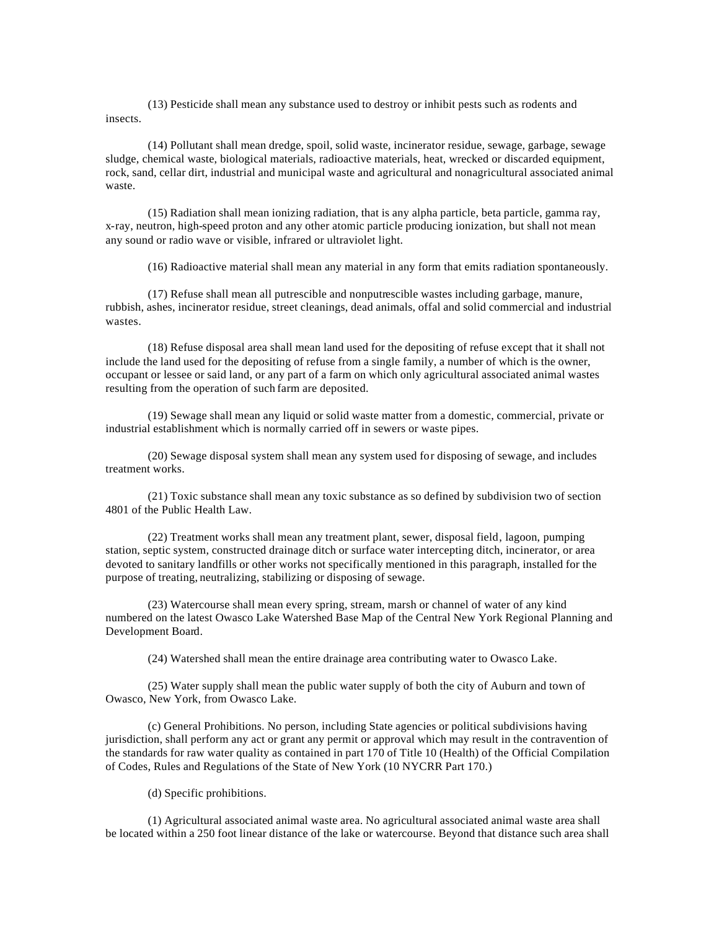(13) Pesticide shall mean any substance used to destroy or inhibit pests such as rodents and insects.

(14) Pollutant shall mean dredge, spoil, solid waste, incinerator residue, sewage, garbage, sewage sludge, chemical waste, biological materials, radioactive materials, heat, wrecked or discarded equipment, rock, sand, cellar dirt, industrial and municipal waste and agricultural and nonagricultural associated animal waste.

(15) Radiation shall mean ionizing radiation, that is any alpha particle, beta particle, gamma ray, x-ray, neutron, high-speed proton and any other atomic particle producing ionization, but shall not mean any sound or radio wave or visible, infrared or ultraviolet light.

(16) Radioactive material shall mean any material in any form that emits radiation spontaneously.

(17) Refuse shall mean all putrescible and nonputrescible wastes including garbage, manure, rubbish, ashes, incinerator residue, street cleanings, dead animals, offal and solid commercial and industrial wastes.

(18) Refuse disposal area shall mean land used for the depositing of refuse except that it shall not include the land used for the depositing of refuse from a single family, a number of which is the owner, occupant or lessee or said land, or any part of a farm on which only agricultural associated animal wastes resulting from the operation of such farm are deposited.

(19) Sewage shall mean any liquid or solid waste matter from a domestic, commercial, private or industrial establishment which is normally carried off in sewers or waste pipes.

(20) Sewage disposal system shall mean any system used for disposing of sewage, and includes treatment works.

(21) Toxic substance shall mean any toxic substance as so defined by subdivision two of section 4801 of the Public Health Law.

(22) Treatment works shall mean any treatment plant, sewer, disposal field, lagoon, pumping station, septic system, constructed drainage ditch or surface water intercepting ditch, incinerator, or area devoted to sanitary landfills or other works not specifically mentioned in this paragraph, installed for the purpose of treating, neutralizing, stabilizing or disposing of sewage.

(23) Watercourse shall mean every spring, stream, marsh or channel of water of any kind numbered on the latest Owasco Lake Watershed Base Map of the Central New York Regional Planning and Development Board.

(24) Watershed shall mean the entire drainage area contributing water to Owasco Lake.

(25) Water supply shall mean the public water supply of both the city of Auburn and town of Owasco, New York, from Owasco Lake.

(c) General Prohibitions. No person, including State agencies or political subdivisions having jurisdiction, shall perform any act or grant any permit or approval which may result in the contravention of the standards for raw water quality as contained in part 170 of Title 10 (Health) of the Official Compilation of Codes, Rules and Regulations of the State of New York (10 NYCRR Part 170.)

(d) Specific prohibitions.

(1) Agricultural associated animal waste area. No agricultural associated animal waste area shall be located within a 250 foot linear distance of the lake or watercourse. Beyond that distance such area shall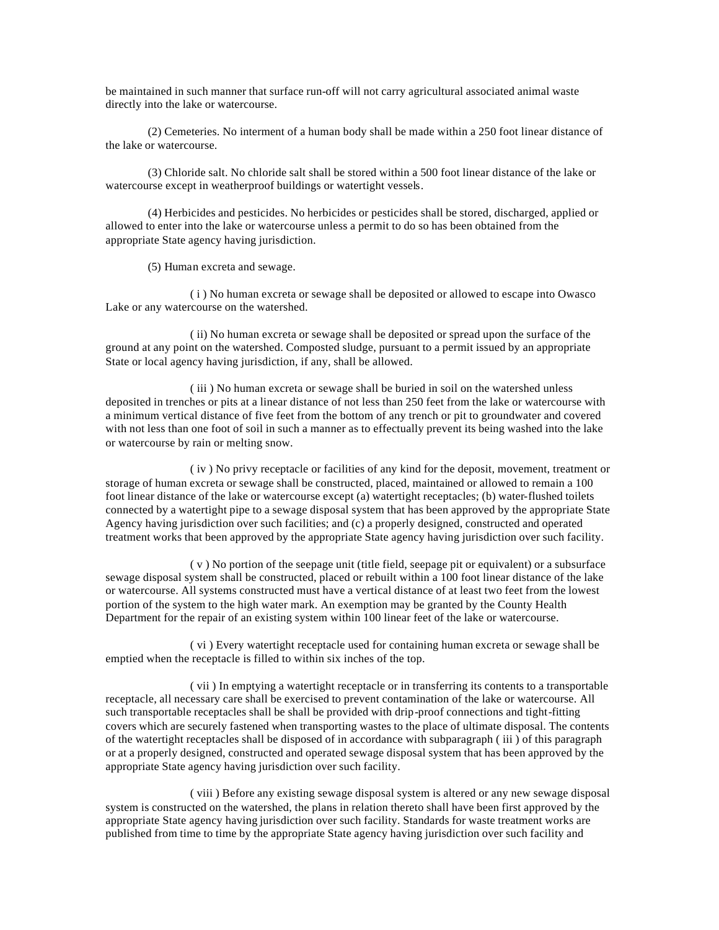be maintained in such manner that surface run-off will not carry agricultural associated animal waste directly into the lake or watercourse.

(2) Cemeteries. No interment of a human body shall be made within a 250 foot linear distance of the lake or watercourse.

(3) Chloride salt. No chloride salt shall be stored within a 500 foot linear distance of the lake or watercourse except in weatherproof buildings or watertight vessels.

(4) Herbicides and pesticides. No herbicides or pesticides shall be stored, discharged, applied or allowed to enter into the lake or watercourse unless a permit to do so has been obtained from the appropriate State agency having jurisdiction.

(5) Human excreta and sewage.

( i ) No human excreta or sewage shall be deposited or allowed to escape into Owasco Lake or any watercourse on the watershed.

( ii) No human excreta or sewage shall be deposited or spread upon the surface of the ground at any point on the watershed. Composted sludge, pursuant to a permit issued by an appropriate State or local agency having jurisdiction, if any, shall be allowed.

( iii ) No human excreta or sewage shall be buried in soil on the watershed unless deposited in trenches or pits at a linear distance of not less than 250 feet from the lake or watercourse with a minimum vertical distance of five feet from the bottom of any trench or pit to groundwater and covered with not less than one foot of soil in such a manner as to effectually prevent its being washed into the lake or watercourse by rain or melting snow.

( iv ) No privy receptacle or facilities of any kind for the deposit, movement, treatment or storage of human excreta or sewage shall be constructed, placed, maintained or allowed to remain a 100 foot linear distance of the lake or watercourse except (a) watertight receptacles; (b) water-flushed toilets connected by a watertight pipe to a sewage disposal system that has been approved by the appropriate State Agency having jurisdiction over such facilities; and (c) a properly designed, constructed and operated treatment works that been approved by the appropriate State agency having jurisdiction over such facility.

( v ) No portion of the seepage unit (title field, seepage pit or equivalent) or a subsurface sewage disposal system shall be constructed, placed or rebuilt within a 100 foot linear distance of the lake or watercourse. All systems constructed must have a vertical distance of at least two feet from the lowest portion of the system to the high water mark. An exemption may be granted by the County Health Department for the repair of an existing system within 100 linear feet of the lake or watercourse.

( vi ) Every watertight receptacle used for containing human excreta or sewage shall be emptied when the receptacle is filled to within six inches of the top.

( vii ) In emptying a watertight receptacle or in transferring its contents to a transportable receptacle, all necessary care shall be exercised to prevent contamination of the lake or watercourse. All such transportable receptacles shall be shall be provided with drip-proof connections and tight-fitting covers which are securely fastened when transporting wastes to the place of ultimate disposal. The contents of the watertight receptacles shall be disposed of in accordance with subparagraph ( iii ) of this paragraph or at a properly designed, constructed and operated sewage disposal system that has been approved by the appropriate State agency having jurisdiction over such facility.

( viii ) Before any existing sewage disposal system is altered or any new sewage disposal system is constructed on the watershed, the plans in relation thereto shall have been first approved by the appropriate State agency having jurisdiction over such facility. Standards for waste treatment works are published from time to time by the appropriate State agency having jurisdiction over such facility and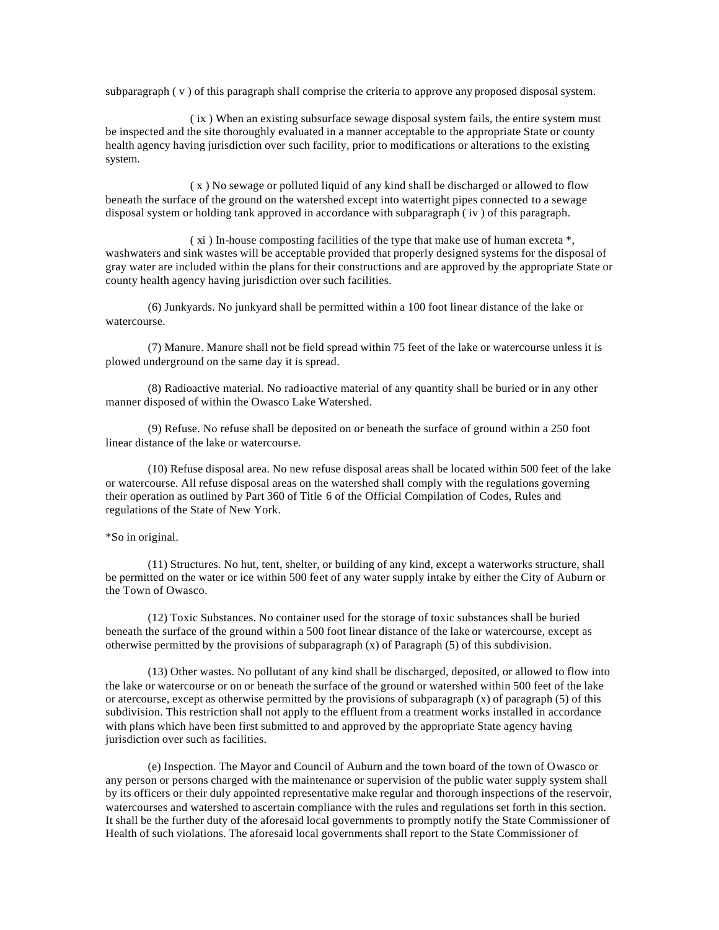subparagraph ( $v$ ) of this paragraph shall comprise the criteria to approve any proposed disposal system.

( ix ) When an existing subsurface sewage disposal system fails, the entire system must be inspected and the site thoroughly evaluated in a manner acceptable to the appropriate State or county health agency having jurisdiction over such facility, prior to modifications or alterations to the existing system.

( x ) No sewage or polluted liquid of any kind shall be discharged or allowed to flow beneath the surface of the ground on the watershed except into watertight pipes connected to a sewage disposal system or holding tank approved in accordance with subparagraph ( iv ) of this paragraph.

( xi ) In-house composting facilities of the type that make use of human excreta \*, washwaters and sink wastes will be acceptable provided that properly designed systems for the disposal of gray water are included within the plans for their constructions and are approved by the appropriate State or county health agency having jurisdiction over such facilities.

(6) Junkyards. No junkyard shall be permitted within a 100 foot linear distance of the lake or watercourse.

(7) Manure. Manure shall not be field spread within 75 feet of the lake or watercourse unless it is plowed underground on the same day it is spread.

(8) Radioactive material. No radioactive material of any quantity shall be buried or in any other manner disposed of within the Owasco Lake Watershed.

(9) Refuse. No refuse shall be deposited on or beneath the surface of ground within a 250 foot linear distance of the lake or watercourse.

(10) Refuse disposal area. No new refuse disposal areas shall be located within 500 feet of the lake or watercourse. All refuse disposal areas on the watershed shall comply with the regulations governing their operation as outlined by Part 360 of Title 6 of the Official Compilation of Codes, Rules and regulations of the State of New York.

### \*So in original.

(11) Structures. No hut, tent, shelter, or building of any kind, except a waterworks structure, shall be permitted on the water or ice within 500 feet of any water supply intake by either the City of Auburn or the Town of Owasco.

(12) Toxic Substances. No container used for the storage of toxic substances shall be buried beneath the surface of the ground within a 500 foot linear distance of the lake or watercourse, except as otherwise permitted by the provisions of subparagraph  $(x)$  of Paragraph  $(5)$  of this subdivision.

(13) Other wastes. No pollutant of any kind shall be discharged, deposited, or allowed to flow into the lake or watercourse or on or beneath the surface of the ground or watershed within 500 feet of the lake or atercourse, except as otherwise permitted by the provisions of subparagraph  $(x)$  of paragraph  $(5)$  of this subdivision. This restriction shall not apply to the effluent from a treatment works installed in accordance with plans which have been first submitted to and approved by the appropriate State agency having jurisdiction over such as facilities.

(e) Inspection. The Mayor and Council of Auburn and the town board of the town of Owasco or any person or persons charged with the maintenance or supervision of the public water supply system shall by its officers or their duly appointed representative make regular and thorough inspections of the reservoir, watercourses and watershed to ascertain compliance with the rules and regulations set forth in this section. It shall be the further duty of the aforesaid local governments to promptly notify the State Commissioner of Health of such violations. The aforesaid local governments shall report to the State Commissioner of